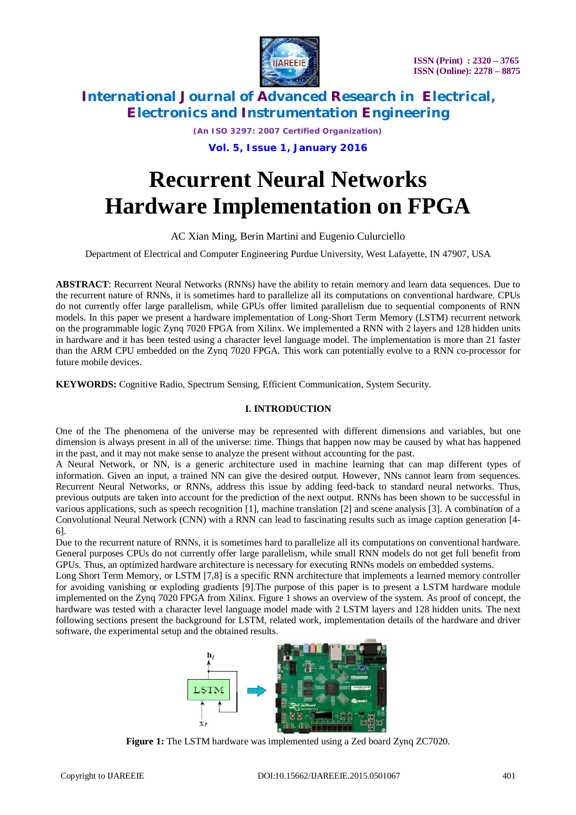

*(An ISO 3297: 2007 Certified Organization)*

**Vol. 5, Issue 1, January 2016**

# **Recurrent Neural Networks Hardware Implementation on FPGA**

AC Xian Ming, Berin Martini and Eugenio Culurciello

Department of Electrical and Computer Engineering Purdue University, West Lafayette, IN 47907, USA

**ABSTRACT**: Recurrent Neural Networks (RNNs) have the ability to retain memory and learn data sequences. Due to the recurrent nature of RNNs, it is sometimes hard to parallelize all its computations on conventional hardware. CPUs do not currently offer large parallelism, while GPUs offer limited parallelism due to sequential components of RNN models. In this paper we present a hardware implementation of Long-Short Term Memory (LSTM) recurrent network on the programmable logic Zynq 7020 FPGA from Xilinx. We implemented a RNN with 2 layers and 128 hidden units in hardware and it has been tested using a character level language model. The implementation is more than 21 faster than the ARM CPU embedded on the Zynq 7020 FPGA. This work can potentially evolve to a RNN co-processor for future mobile devices.

**KEYWORDS:** Cognitive Radio, Spectrum Sensing, Efficient Communication, System Security.

### **I. INTRODUCTION**

One of the The phenomena of the universe may be represented with different dimensions and variables, but one dimension is always present in all of the universe: time. Things that happen now may be caused by what has happened in the past, and it may not make sense to analyze the present without accounting for the past.

A Neural Network, or NN, is a generic architecture used in machine learning that can map different types of information. Given an input, a trained NN can give the desired output. However, NNs cannot learn from sequences. Recurrent Neural Networks, or RNNs, address this issue by adding feed-back to standard neural networks. Thus, previous outputs are taken into account for the prediction of the next output. RNNs has been shown to be successful in various applications, such as speech recognition [1], machine translation [2] and scene analysis [3]. A combination of a Convolutional Neural Network (CNN) with a RNN can lead to fascinating results such as image caption generation [4- 6].

Due to the recurrent nature of RNNs, it is sometimes hard to parallelize all its computations on conventional hardware. General purposes CPUs do not currently offer large parallelism, while small RNN models do not get full benefit from GPUs. Thus, an optimized hardware architecture is necessary for executing RNNs models on embedded systems.

Long Short Term Memory, or LSTM [7,8] is a specific RNN architecture that implements a learned memory controller for avoiding vanishing or exploding gradients [9].The purpose of this paper is to present a LSTM hardware module implemented on the Zynq 7020 FPGA from Xilinx. Figure 1 shows an overview of the system. As proof of concept, the hardware was tested with a character level language model made with 2 LSTM layers and 128 hidden units. The next following sections present the background for LSTM, related work, implementation details of the hardware and driver software, the experimental setup and the obtained results.



**Figure 1:** The LSTM hardware was implemented using a Zed board Zynq ZC7020.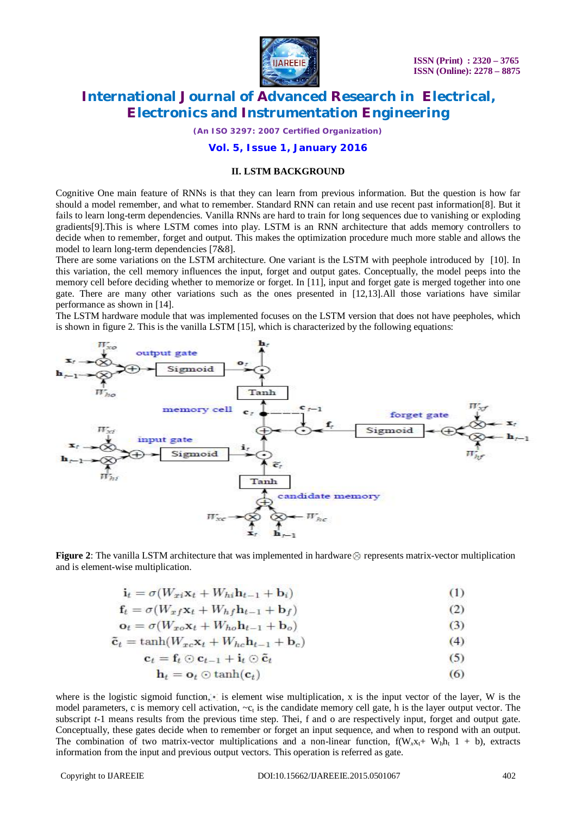

*(An ISO 3297: 2007 Certified Organization)*

### **Vol. 5, Issue 1, January 2016**

#### **II. LSTM BACKGROUND**

Cognitive One main feature of RNNs is that they can learn from previous information. But the question is how far should a model remember, and what to remember. Standard RNN can retain and use recent past information[8]. But it fails to learn long-term dependencies. Vanilla RNNs are hard to train for long sequences due to vanishing or exploding gradients[9].This is where LSTM comes into play. LSTM is an RNN architecture that adds memory controllers to decide when to remember, forget and output. This makes the optimization procedure much more stable and allows the model to learn long-term dependencies [7&8].

There are some variations on the LSTM architecture. One variant is the LSTM with peephole introduced by [10]. In this variation, the cell memory influences the input, forget and output gates. Conceptually, the model peeps into the memory cell before deciding whether to memorize or forget. In [11], input and forget gate is merged together into one gate. There are many other variations such as the ones presented in [12,13].All those variations have similar performance as shown in [14].

The LSTM hardware module that was implemented focuses on the LSTM version that does not have peepholes, which is shown in figure 2. This is the vanilla LSTM [15], which is characterized by the following equations:



**Figure 2**: The vanilla LSTM architecture that was implemented in hardware **o** represents matrix-vector multiplication and is element-wise multiplication.

$$
\mathbf{i}_t = \sigma(W_{xi} \mathbf{x}_t + W_{hi} \mathbf{h}_{t-1} + \mathbf{b}_i)
$$
 (1)

$$
\mathbf{f}_t = \sigma(W_{xf}\mathbf{x}_t + W_h f \mathbf{h}_{t-1} + \mathbf{b}_f)
$$
\n
$$
= \sigma(W_{xf}\mathbf{x}_t + W_h f \mathbf{h}_{t-1} + \mathbf{b}_f)
$$
\n(2)

$$
\mathbf{c}_t = o(W_{xo}x_t + Wh_0\mathbf{n}_{t-1} + \mathbf{b}_o)
$$
\n
$$
\mathbf{\tilde{c}}_t = \tanh(W_{rc}x_t + W_{hc}\mathbf{h}_{t-1} + \mathbf{b}_c)
$$
\n(4)

$$
= \tanh\left(\frac{W_{xc}A_t + W_{hc}\mathbf{u}_{t-1} + \mathbf{u}_c}{\sigma}\right) \tag{5}
$$

$$
\mathbf{c}_t = \mathbf{f}_t \odot \mathbf{c}_{t-1} + \mathbf{i}_t \odot \tilde{\mathbf{c}}_t \tag{5}
$$

$$
\mathbf{h}_t = \mathbf{o}_t \odot \tanh(\mathbf{c}_t) \tag{6}
$$

where is the logistic sigmoid function, is element wise multiplication, x is the input vector of the layer, W is the model parameters, c is memory cell activation,  $-c_t$  is the candidate memory cell gate, h is the layer output vector. The subscript *t*-1 means results from the previous time step. Thei, f and o are respectively input, forget and output gate. Conceptually, these gates decide when to remember or forget an input sequence, and when to respond with an output. The combination of two matrix-vector multiplications and a non-linear function,  $f(W_x x_t + W_h h_t \t + b)$ , extracts information from the input and previous output vectors. This operation is referred as gate.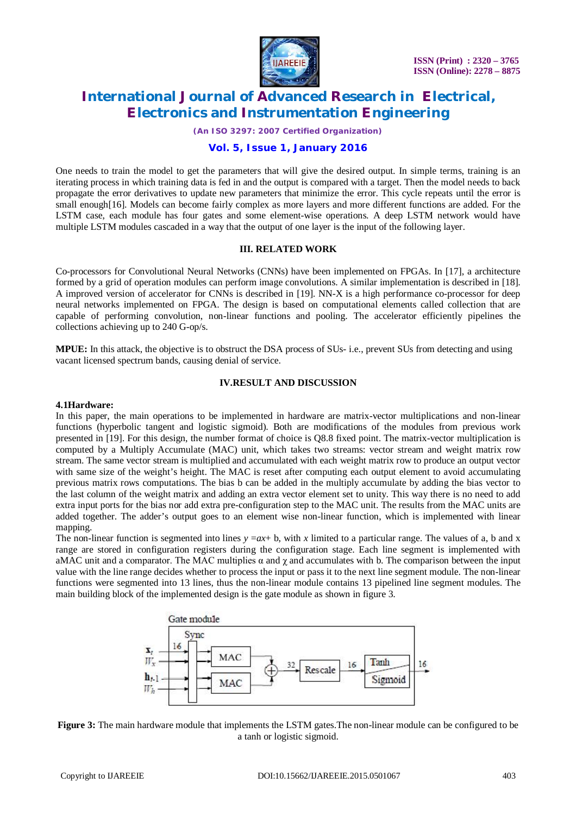

*(An ISO 3297: 2007 Certified Organization)*

### **Vol. 5, Issue 1, January 2016**

One needs to train the model to get the parameters that will give the desired output. In simple terms, training is an iterating process in which training data is fed in and the output is compared with a target. Then the model needs to back propagate the error derivatives to update new parameters that minimize the error. This cycle repeats until the error is small enough<sup>[16]</sup>. Models can become fairly complex as more layers and more different functions are added. For the LSTM case, each module has four gates and some element-wise operations. A deep LSTM network would have multiple LSTM modules cascaded in a way that the output of one layer is the input of the following layer.

### **III. RELATED WORK**

Co-processors for Convolutional Neural Networks (CNNs) have been implemented on FPGAs. In [17], a architecture formed by a grid of operation modules can perform image convolutions. A similar implementation is described in [18]. A improved version of accelerator for CNNs is described in [19]. NN-X is a high performance co-processor for deep neural networks implemented on FPGA. The design is based on computational elements called collection that are capable of performing convolution, non-linear functions and pooling. The accelerator efficiently pipelines the collections achieving up to 240 G-op/s.

**MPUE:** In this attack, the objective is to obstruct the DSA process of SUs- i.e., prevent SUs from detecting and using vacant licensed spectrum bands, causing denial of service.

### **IV.RESULT AND DISCUSSION**

#### **4.1Hardware:**

In this paper, the main operations to be implemented in hardware are matrix-vector multiplications and non-linear functions (hyperbolic tangent and logistic sigmoid). Both are modifications of the modules from previous work presented in [19]. For this design, the number format of choice is Q8.8 fixed point. The matrix-vector multiplication is computed by a Multiply Accumulate (MAC) unit, which takes two streams: vector stream and weight matrix row stream. The same vector stream is multiplied and accumulated with each weight matrix row to produce an output vector with same size of the weight's height. The MAC is reset after computing each output element to avoid accumulating previous matrix rows computations. The bias b can be added in the multiply accumulate by adding the bias vector to the last column of the weight matrix and adding an extra vector element set to unity. This way there is no need to add extra input ports for the bias nor add extra pre-configuration step to the MAC unit. The results from the MAC units are added together. The adder's output goes to an element wise non-linear function, which is implemented with linear mapping.

The non-linear function is segmented into lines  $y = ax + b$ , with x limited to a particular range. The values of a, b and x range are stored in configuration registers during the configuration stage. Each line segment is implemented with aMAC unit and a comparator. The MAC multiplies  $\alpha$  and  $\gamma$  and accumulates with b. The comparison between the input value with the line range decides whether to process the input or pass it to the next line segment module. The non-linear functions were segmented into 13 lines, thus the non-linear module contains 13 pipelined line segment modules. The main building block of the implemented design is the gate module as shown in figure 3.



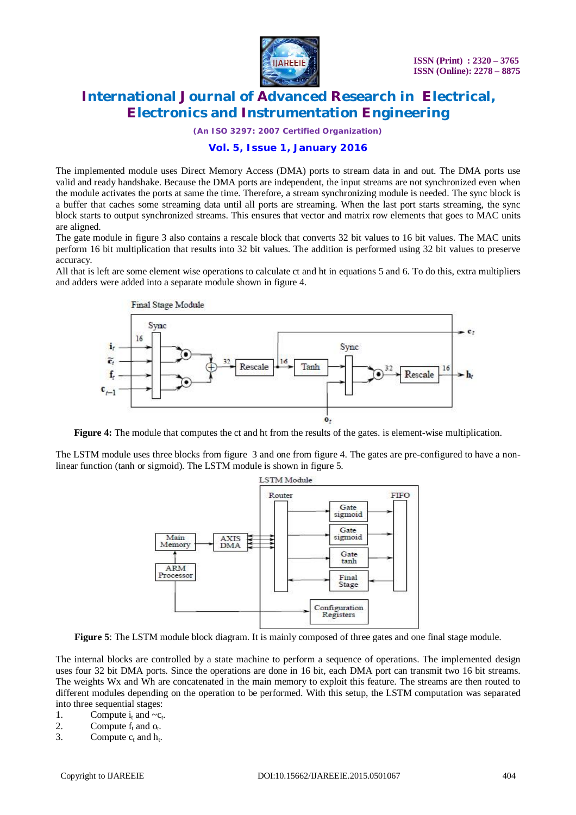

*(An ISO 3297: 2007 Certified Organization)*

### **Vol. 5, Issue 1, January 2016**

The implemented module uses Direct Memory Access (DMA) ports to stream data in and out. The DMA ports use valid and ready handshake. Because the DMA ports are independent, the input streams are not synchronized even when the module activates the ports at same the time. Therefore, a stream synchronizing module is needed. The sync block is a buffer that caches some streaming data until all ports are streaming. When the last port starts streaming, the sync block starts to output synchronized streams. This ensures that vector and matrix row elements that goes to MAC units are aligned.

The gate module in figure 3 also contains a rescale block that converts 32 bit values to 16 bit values. The MAC units perform 16 bit multiplication that results into 32 bit values. The addition is performed using 32 bit values to preserve accuracy.

All that is left are some element wise operations to calculate ct and ht in equations 5 and 6. To do this, extra multipliers and adders were added into a separate module shown in figure 4.



**Figure 4:** The module that computes the ct and ht from the results of the gates. is element-wise multiplication.

The LSTM module uses three blocks from figure 3 and one from figure 4. The gates are pre-configured to have a nonlinear function (tanh or sigmoid). The LSTM module is shown in figure 5.



**Figure 5**: The LSTM module block diagram. It is mainly composed of three gates and one final stage module.

The internal blocks are controlled by a state machine to perform a sequence of operations. The implemented design uses four 32 bit DMA ports. Since the operations are done in 16 bit, each DMA port can transmit two 16 bit streams. The weights Wx and Wh are concatenated in the main memory to exploit this feature. The streams are then routed to different modules depending on the operation to be performed. With this setup, the LSTM computation was separated into three sequential stages:

- 1. Compute  $i_t$  and  $-c_t$ .
- 2. Compute  $f_t$  and  $o_t$ .
- 3. Compute  $c_t$  and  $h_t$ .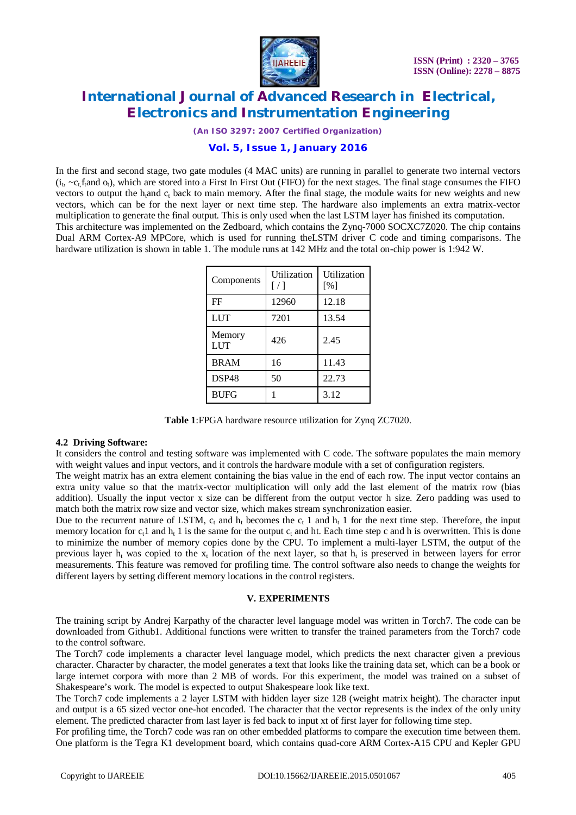

*(An ISO 3297: 2007 Certified Organization)*

### **Vol. 5, Issue 1, January 2016**

In the first and second stage, two gate modules (4 MAC units) are running in parallel to generate two internal vectors  $(i_t, \neg c_t f_t$  and  $o_t$ ), which are stored into a First In First Out (FIFO) for the next stages. The final stage consumes the FIFO vectors to output the h<sub>t</sub>and  $c_t$  back to main memory. After the final stage, the module waits for new weights and new vectors, which can be for the next layer or next time step. The hardware also implements an extra matrix-vector multiplication to generate the final output. This is only used when the last LSTM layer has finished its computation. This architecture was implemented on the Zedboard, which contains the Zynq-7000 SOCXC7Z020. The chip contains Dual ARM Cortex-A9 MPCore, which is used for running theLSTM driver C code and timing comparisons. The hardware utilization is shown in table 1. The module runs at 142 MHz and the total on-chip power is 1:942 W.

| Components    | Utilization<br>$\lceil$ / 1 | Utilization<br>[%] |
|---------------|-----------------------------|--------------------|
| FF            | 12960                       | 12.18              |
| <b>LUT</b>    | 7201                        | 13.54              |
| Memory<br>LUT | 426                         | 2.45               |
| <b>BRAM</b>   | 16                          | 11.43              |
| DSP48         | 50                          | 22.73              |
| <b>BUFG</b>   |                             | 3.12               |

**Table 1**:FPGA hardware resource utilization for Zynq ZC7020.

### **4.2 Driving Software:**

It considers the control and testing software was implemented with C code. The software populates the main memory with weight values and input vectors, and it controls the hardware module with a set of configuration registers.

The weight matrix has an extra element containing the bias value in the end of each row. The input vector contains an extra unity value so that the matrix-vector multiplication will only add the last element of the matrix row (bias addition). Usually the input vector x size can be different from the output vector h size. Zero padding was used to match both the matrix row size and vector size, which makes stream synchronization easier.

Due to the recurrent nature of LSTM,  $c_t$  and  $h_t$  becomes the  $c_t$  1 and  $h_t$  1 for the next time step. Therefore, the input memory location for  $c_t1$  and  $h_t1$  is the same for the output  $c_t$  and ht. Each time step c and h is overwritten. This is done to minimize the number of memory copies done by the CPU. To implement a multi-layer LSTM, the output of the previous layer  $h_t$  was copied to the  $x_t$  location of the next layer, so that  $h_t$  is preserved in between layers for error measurements. This feature was removed for profiling time. The control software also needs to change the weights for different layers by setting different memory locations in the control registers.

### **V. EXPERIMENTS**

The training script by Andrej Karpathy of the character level language model was written in Torch7. The code can be downloaded from Github1. Additional functions were written to transfer the trained parameters from the Torch7 code to the control software.

The Torch7 code implements a character level language model, which predicts the next character given a previous character. Character by character, the model generates a text that looks like the training data set, which can be a book or large internet corpora with more than 2 MB of words. For this experiment, the model was trained on a subset of Shakespeare's work. The model is expected to output Shakespeare look like text.

The Torch7 code implements a 2 layer LSTM with hidden layer size 128 (weight matrix height). The character input and output is a 65 sized vector one-hot encoded. The character that the vector represents is the index of the only unity element. The predicted character from last layer is fed back to input xt of first layer for following time step.

For profiling time, the Torch7 code was ran on other embedded platforms to compare the execution time between them. One platform is the Tegra K1 development board, which contains quad-core ARM Cortex-A15 CPU and Kepler GPU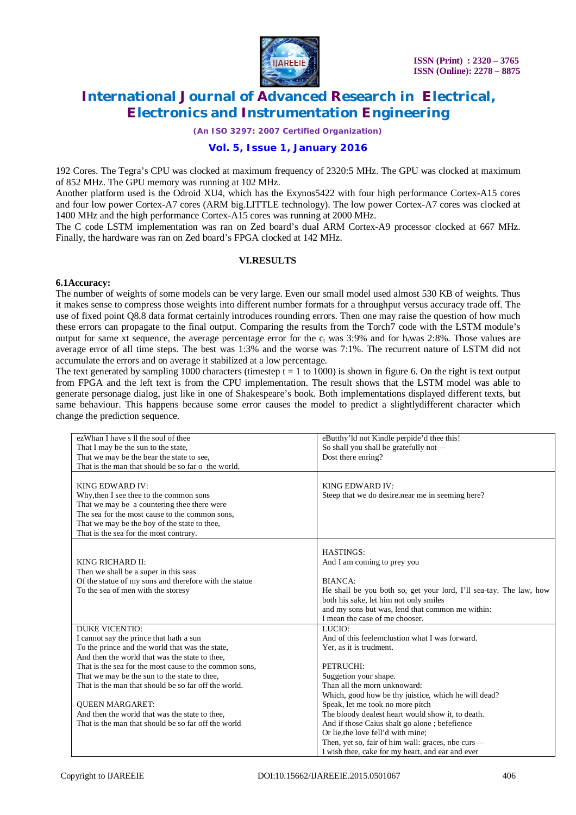

*(An ISO 3297: 2007 Certified Organization)*

### **Vol. 5, Issue 1, January 2016**

192 Cores. The Tegra's CPU was clocked at maximum frequency of 2320:5 MHz. The GPU was clocked at maximum of 852 MHz. The GPU memory was running at 102 MHz.

Another platform used is the Odroid XU4, which has the Exynos5422 with four high performance Cortex-A15 cores and four low power Cortex-A7 cores (ARM big.LITTLE technology). The low power Cortex-A7 cores was clocked at 1400 MHz and the high performance Cortex-A15 cores was running at 2000 MHz.

The C code LSTM implementation was ran on Zed board's dual ARM Cortex-A9 processor clocked at 667 MHz. Finally, the hardware was ran on Zed board's FPGA clocked at 142 MHz.

### **VI.RESULTS**

#### **6.1Accuracy:**

The number of weights of some models can be very large. Even our small model used almost 530 KB of weights. Thus it makes sense to compress those weights into different number formats for a throughput versus accuracy trade off. The use of fixed point Q8.8 data format certainly introduces rounding errors. Then one may raise the question of how much these errors can propagate to the final output. Comparing the results from the Torch7 code with the LSTM module's output for same xt sequence, the average percentage error for the  $c<sub>t</sub>$  was 3:9% and for h<sub>t</sub>was 2:8%. Those values are average error of all time steps. The best was 1:3% and the worse was 7:1%. The recurrent nature of LSTM did not accumulate the errors and on average it stabilized at a low percentage.

The text generated by sampling 1000 characters (timestep  $t = 1$  to 1000) is shown in figure 6. On the right is text output from FPGA and the left text is from the CPU implementation. The result shows that the LSTM model was able to generate personage dialog, just like in one of Shakespeare's book. Both implementations displayed different texts, but same behaviour. This happens because some error causes the model to predict a slightlydifferent character which change the prediction sequence.

| ezWhan I have s II the soul of thee<br>That I may be the sun to the state,<br>That we may be the bear the state to see,<br>That is the man that should be so far o the world.                                                                                                                                                                                     | eButthy'ld not Kindle perpide'd thee this!<br>So shall you shall be gratefully not—<br>Dost there enring?                                                                                                                                                        |
|-------------------------------------------------------------------------------------------------------------------------------------------------------------------------------------------------------------------------------------------------------------------------------------------------------------------------------------------------------------------|------------------------------------------------------------------------------------------------------------------------------------------------------------------------------------------------------------------------------------------------------------------|
| KING EDWARD IV:<br>Why, then I see thee to the common sons<br>That we may be a countering thee there were<br>The sea for the most cause to the common sons,<br>That we may be the boy of the state to thee,<br>That is the sea for the most contrary.                                                                                                             | KING EDWARD IV:<br>Steep that we do desire near me in seeming here?                                                                                                                                                                                              |
| KING RICHARD II:<br>Then we shall be a super in this seas<br>Of the statue of my sons and therefore with the statue<br>To the sea of men with the storesy                                                                                                                                                                                                         | <b>HASTINGS:</b><br>And I am coming to prey you<br>BIANCA:<br>He shall be you both so, get your lord, I'll sea-tay. The law, how<br>both his sake, let him not only smiles<br>and my sons but was, lend that common me within:<br>I mean the case of me chooser. |
| <b>DUKE VICENTIO:</b><br>I cannot say the prince that hath a sun<br>To the prince and the world that was the state,<br>And then the world that was the state to thee,<br>That is the sea for the most cause to the common sons,<br>That we may be the sun to the state to thee,<br>That is the man that should be so far off the world.<br><b>QUEEN MARGARET:</b> | LUCIO:<br>And of this feelemclustion what I was forward.<br>Yer, as it is trudment.<br>PETRUCHI:<br>Suggetion your shape.<br>Than all the morn unknoward:<br>Which, good how be thy juistice, which he will dead?<br>Speak, let me took no more pitch            |
| And then the world that was the state to thee,<br>That is the man that should be so far off the world                                                                                                                                                                                                                                                             | The bloody dealest heart would show it, to death.<br>And if those Caius shalt go alone; befefience<br>Or lie, the love fell'd with mine;<br>Then, yet so, fair of him wall: graces, nbe curs—<br>I wish thee, cake for my heart, and ear and ever                |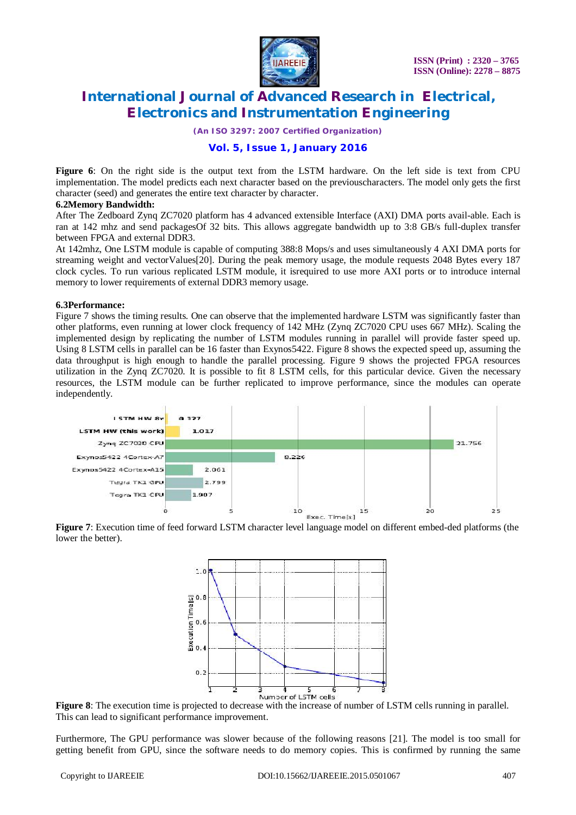

*(An ISO 3297: 2007 Certified Organization)*

### **Vol. 5, Issue 1, January 2016**

**Figure 6**: On the right side is the output text from the LSTM hardware. On the left side is text from CPU implementation. The model predicts each next character based on the previouscharacters. The model only gets the first character (seed) and generates the entire text character by character.

#### **6.2Memory Bandwidth:**

After The Zedboard Zynq ZC7020 platform has 4 advanced extensible Interface (AXI) DMA ports avail-able. Each is ran at 142 mhz and send packagesOf 32 bits. This allows aggregate bandwidth up to 3:8 GB/s full-duplex transfer between FPGA and external DDR3.

At 142mhz, One LSTM module is capable of computing 388:8 Mops/s and uses simultaneously 4 AXI DMA ports for streaming weight and vectorValues[20]. During the peak memory usage, the module requests 2048 Bytes every 187 clock cycles. To run various replicated LSTM module, it isrequired to use more AXI ports or to introduce internal memory to lower requirements of external DDR3 memory usage.

#### **6.3Performance:**

Figure 7 shows the timing results. One can observe that the implemented hardware LSTM was significantly faster than other platforms, even running at lower clock frequency of 142 MHz (Zynq ZC7020 CPU uses 667 MHz). Scaling the implemented design by replicating the number of LSTM modules running in parallel will provide faster speed up. Using 8 LSTM cells in parallel can be 16 faster than Exynos5422. Figure 8 shows the expected speed up, assuming the data throughput is high enough to handle the parallel processing. Figure 9 shows the projected FPGA resources utilization in the Zynq ZC7020. It is possible to fit 8 LSTM cells, for this particular device. Given the necessary resources, the LSTM module can be further replicated to improve performance, since the modules can operate independently.



**Figure 7**: Execution time of feed forward LSTM character level language model on different embed-ded platforms (the lower the better).



**Figure 8**: The execution time is projected to decrease with the increase of number of LSTM cells running in parallel. This can lead to significant performance improvement.

Furthermore, The GPU performance was slower because of the following reasons [21]. The model is too small for getting benefit from GPU, since the software needs to do memory copies. This is confirmed by running the same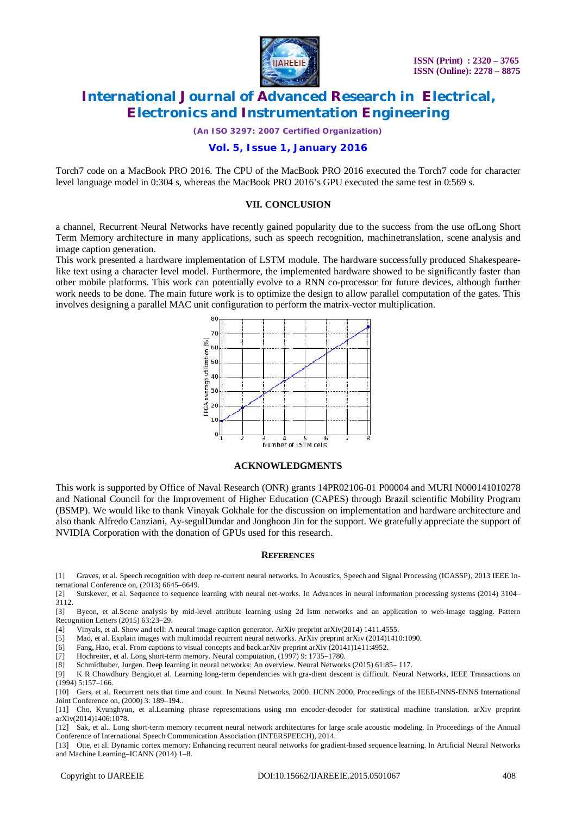

*(An ISO 3297: 2007 Certified Organization)*

### **Vol. 5, Issue 1, January 2016**

Torch7 code on a MacBook PRO 2016. The CPU of the MacBook PRO 2016 executed the Torch7 code for character level language model in 0:304 s, whereas the MacBook PRO 2016's GPU executed the same test in 0:569 s.

### **VII. CONCLUSION**

a channel, Recurrent Neural Networks have recently gained popularity due to the success from the use ofLong Short Term Memory architecture in many applications, such as speech recognition, machinetranslation, scene analysis and image caption generation.

This work presented a hardware implementation of LSTM module. The hardware successfully produced Shakespearelike text using a character level model. Furthermore, the implemented hardware showed to be significantly faster than other mobile platforms. This work can potentially evolve to a RNN co-processor for future devices, although further work needs to be done. The main future work is to optimize the design to allow parallel computation of the gates. This involves designing a parallel MAC unit configuration to perform the matrix-vector multiplication.



### **ACKNOWLEDGMENTS**

This work is supported by Office of Naval Research (ONR) grants 14PR02106-01 P00004 and MURI N000141010278 and National Council for the Improvement of Higher Education (CAPES) through Brazil scientific Mobility Program (BSMP). We would like to thank Vinayak Gokhale for the discussion on implementation and hardware architecture and also thank Alfredo Canziani, Ay-segulDundar and Jonghoon Jin for the support. We gratefully appreciate the support of NVIDIA Corporation with the donation of GPUs used for this research.

#### **REFERENCES**

[1] Graves, et al. Speech recognition with deep re-current neural networks. In Acoustics, Speech and Signal Processing (ICASSP), 2013 IEEE International Conference on, (2013) 6645–6649.

[2] Sutskever, et al. Sequence to sequence learning with neural net-works. In Advances in neural information processing systems (2014) 3104– 3112.

[3] Byeon, et al.Scene analysis by mid-level attribute learning using 2d lstm networks and an application to web-image tagging. Pattern Recognition Letters (2015) 63:23–29.

[4] Vinyals, et al. Show and tell: A neural image caption generator. ArXiv preprint arXiv(2014) 1411.4555.

[5] Mao, et al. Explain images with multimodal recurrent neural networks. ArXiv preprint arXiv (2014)1410:1090.

[6] Fang, Hao, et al. From captions to visual concepts and back.arXiv preprint arXiv (20141)1411:4952.

[7] Hochreiter, et al. Long short-term memory. Neural computation, (1997) 9: 1735–1780.

[8] Schmidhuber, Jurgen. Deep learning in neural networks: An overview. Neural Networks (2015) 61:85– 117.

[9] K R Chowdhury Bengio,et al. Learning long-term dependencies with gra-dient descent is difficult. Neural Networks, IEEE Transactions on  $(1994)$  5:157-166.

[10] Gers, et al. Recurrent nets that time and count. In Neural Networks, 2000. IJCNN 2000, Proceedings of the IEEE-INNS-ENNS International Joint Conference on, (2000) 3: 189–194..

[11] Cho, Kyunghyun, et al.Learning phrase representations using rnn encoder-decoder for statistical machine translation. arXiv preprint arXiv(2014)1406:1078.

[12] Sak, et al.. Long short-term memory recurrent neural network architectures for large scale acoustic modeling. In Proceedings of the Annual Conference of International Speech Communication Association (INTERSPEECH), 2014.

[13] Otte, et al. Dynamic cortex memory: Enhancing recurrent neural networks for gradient-based sequence learning. In Artificial Neural Networks and Machine Learning–ICANN (2014) 1–8.